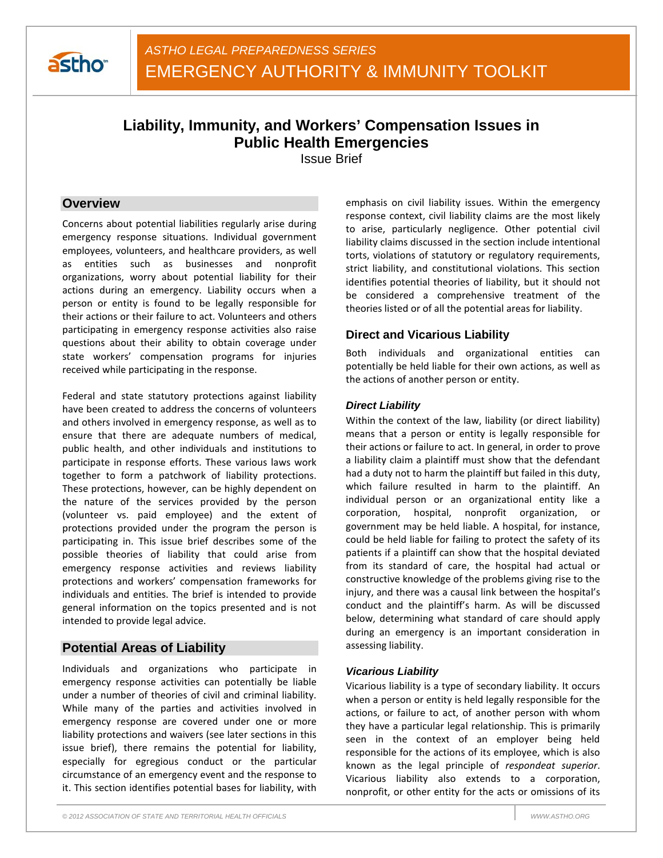

# **Liability, Immunity, and Workers' Compensation Issues in Public Health Emergencies**

Issue Brief

# **Overview**

Concerns about potential liabilities regularly arise during emergency response situations. Individual government employees, volunteers, and healthcare providers, as well as entities such as businesses and nonprofit organizations, worry about potential liability for their actions during an emergency. Liability occurs when a person or entity is found to be legally responsible for their actions or their failure to act. Volunteers and others participating in emergency response activities also raise questions about their ability to obtain coverage under state workers' compensation programs for injuries received while participating in the response.

Federal and state statutory protections against liability have been created to address the concerns of volunteers and others involved in emergency response, as well as to ensure that there are adequate numbers of medical, public health, and other individuals and institutions to participate in response efforts. These various laws work together to form a patchwork of liability protections. These protections, however, can be highly dependent on the nature of the services provided by the person (volunteer vs. paid employee) and the extent of protections provided under the program the person is participating in. This issue brief describes some of the possible theories of liability that could arise from emergency response activities and reviews liability protections and workers' compensation frameworks for individuals and entities. The brief is intended to provide general information on the topics presented and is not intended to provide legal advice.

# **Potential Areas of Liability**

Individuals and organizations who participate in emergency response activities can potentially be liable under a number of theories of civil and criminal liability. While many of the parties and activities involved in emergency response are covered under one or more liability protections and waivers (see later sections in this issue brief), there remains the potential for liability, especially for egregious conduct or the particular circumstance of an emergency event and the response to it. This section identifies potential bases for liability, with

emphasis on civil liability issues. Within the emergency response context, civil liability claims are the most likely to arise, particularly negligence. Other potential civil liability claims discussed in the section include intentional torts, violations of statutory or regulatory requirements, strict liability, and constitutional violations. This section identifies potential theories of liability, but it should not be considered a comprehensive treatment of the theories listed or of all the potential areas for liability.

# **Direct and Vicarious Liability**

Both individuals and organizational entities can potentially be held liable for their own actions, as well as the actions of another person or entity.

### *Direct Liability*

Within the context of the law, liability (or direct liability) means that a person or entity is legally responsible for their actions or failure to act. In general, in order to prove a liability claim a plaintiff must show that the defendant had a duty not to harm the plaintiff but failed in this duty, which failure resulted in harm to the plaintiff. An individual person or an organizational entity like a corporation, hospital, nonprofit organization, or government may be held liable. A hospital, for instance, could be held liable for failing to protect the safety of its patients if a plaintiff can show that the hospital deviated from its standard of care, the hospital had actual or constructive knowledge of the problems giving rise to the injury, and there was a causal link between the hospital's conduct and the plaintiff's harm. As will be discussed below, determining what standard of care should apply during an emergency is an important consideration in assessing liability.

### *Vicarious Liability*

Vicarious liability is a type of secondary liability. It occurs when a person or entity is held legally responsible for the actions, or failure to act, of another person with whom they have a particular legal relationship. This is primarily seen in the context of an employer being held responsible for the actions of its employee, which is also known as the legal principle of *respondeat superior*. Vicarious liability also extends to a corporation, nonprofit, or other entity for the acts or omissions of its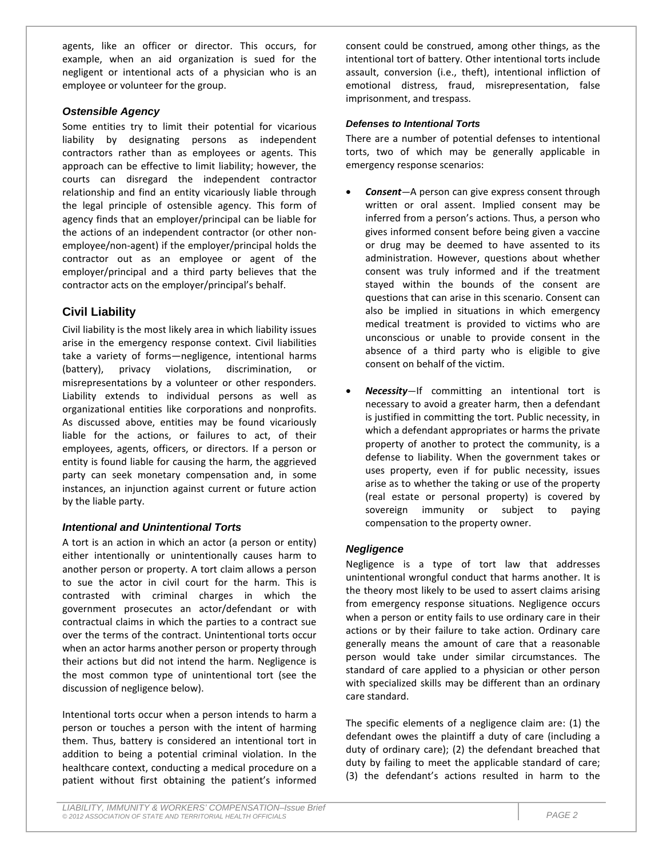agents, like an officer or director. This occurs, for example, when an aid organization is sued for the negligent or intentional acts of a physician who is an employee or volunteer for the group.

### *Ostensible Agency*

Some entities try to limit their potential for vicarious liability by designating persons as independent contractors rather than as employees or agents. This approach can be effective to limit liability; however, the courts can disregard the independent contractor relationship and find an entity vicariously liable through the legal principle of ostensible agency. This form of agency finds that an employer/principal can be liable for the actions of an independent contractor (or other nonemployee/non-agent) if the employer/principal holds the contractor out as an employee or agent of the employer/principal and a third party believes that the contractor acts on the employer/principal's behalf.

# **Civil Liability**

Civil liability is the most likely area in which liability issues arise in the emergency response context. Civil liabilities take a variety of forms—negligence, intentional harms (battery), privacy violations, discrimination, or misrepresentations by a volunteer or other responders. Liability extends to individual persons as well as organizational entities like corporations and nonprofits. As discussed above, entities may be found vicariously liable for the actions, or failures to act, of their employees, agents, officers, or directors. If a person or entity is found liable for causing the harm, the aggrieved party can seek monetary compensation and, in some instances, an injunction against current or future action by the liable party.

### *Intentional and Unintentional Torts*

A tort is an action in which an actor (a person or entity) either intentionally or unintentionally causes harm to another person or property. A tort claim allows a person to sue the actor in civil court for the harm. This is contrasted with criminal charges in which the government prosecutes an actor/defendant or with contractual claims in which the parties to a contract sue over the terms of the contract. Unintentional torts occur when an actor harms another person or property through their actions but did not intend the harm. Negligence is the most common type of unintentional tort (see the discussion of negligence below).

Intentional torts occur when a person intends to harm a person or touches a person with the intent of harming them. Thus, battery is considered an intentional tort in addition to being a potential criminal violation. In the healthcare context, conducting a medical procedure on a patient without first obtaining the patient's informed

consent could be construed, among other things, as the intentional tort of battery. Other intentional torts include assault, conversion (i.e., theft), intentional infliction of emotional distress, fraud, misrepresentation, false imprisonment, and trespass.

### *Defenses to Intentional Torts*

There are a number of potential defenses to intentional torts, two of which may be generally applicable in emergency response scenarios:

- *Consent—*A person can give express consent through written or oral assent. Implied consent may be inferred from a person's actions. Thus, a person who gives informed consent before being given a vaccine or drug may be deemed to have assented to its administration. However, questions about whether consent was truly informed and if the treatment stayed within the bounds of the consent are questions that can arise in this scenario. Consent can also be implied in situations in which emergency medical treatment is provided to victims who are unconscious or unable to provide consent in the absence of a third party who is eligible to give consent on behalf of the victim.
- *Necessity—*If committing an intentional tort is necessary to avoid a greater harm, then a defendant is justified in committing the tort. Public necessity, in which a defendant appropriates or harms the private property of another to protect the community, is a defense to liability. When the government takes or uses property, even if for public necessity, issues arise as to whether the taking or use of the property (real estate or personal property) is covered by sovereign immunity or subject to paying compensation to the property owner.

### *Negligence*

Negligence is a type of tort law that addresses unintentional wrongful conduct that harms another. It is the theory most likely to be used to assert claims arising from emergency response situations. Negligence occurs when a person or entity fails to use ordinary care in their actions or by their failure to take action. Ordinary care generally means the amount of care that a reasonable person would take under similar circumstances. The standard of care applied to a physician or other person with specialized skills may be different than an ordinary care standard.

The specific elements of a negligence claim are: (1) the defendant owes the plaintiff a duty of care (including a duty of ordinary care); (2) the defendant breached that duty by failing to meet the applicable standard of care; (3) the defendant's actions resulted in harm to the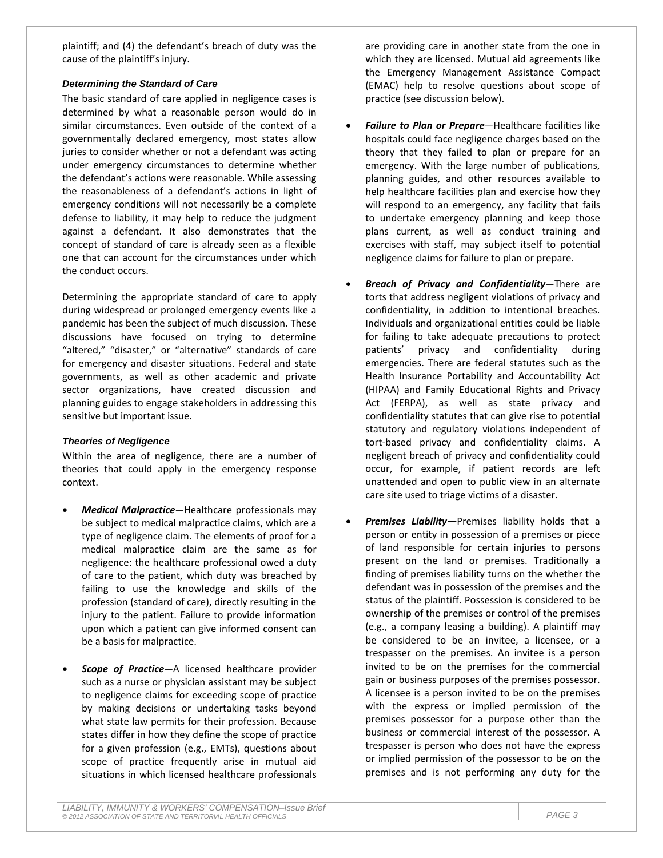plaintiff; and (4) the defendant's breach of duty was the cause of the plaintiff's injury.

### *Determining the Standard of Care*

The basic standard of care applied in negligence cases is determined by what a reasonable person would do in similar circumstances. Even outside of the context of a governmentally declared emergency, most states allow juries to consider whether or not a defendant was acting under emergency circumstances to determine whether the defendant's actions were reasonable. While assessing the reasonableness of a defendant's actions in light of emergency conditions will not necessarily be a complete defense to liability, it may help to reduce the judgment against a defendant. It also demonstrates that the concept of standard of care is already seen as a flexible one that can account for the circumstances under which the conduct occurs.

Determining the appropriate standard of care to apply during widespread or prolonged emergency events like a pandemic has been the subject of much discussion. These discussions have focused on trying to determine "altered," "disaster," or "alternative" standards of care for emergency and disaster situations. Federal and state governments, as well as other academic and private sector organizations, have created discussion and planning guides to engage stakeholders in addressing this sensitive but important issue.

### *Theories of Negligence*

Within the area of negligence, there are a number of theories that could apply in the emergency response context.

- *Medical Malpractice*—Healthcare professionals may be subject to medical malpractice claims, which are a type of negligence claim. The elements of proof for a medical malpractice claim are the same as for negligence: the healthcare professional owed a duty of care to the patient, which duty was breached by failing to use the knowledge and skills of the profession (standard of care), directly resulting in the injury to the patient. Failure to provide information upon which a patient can give informed consent can be a basis for malpractice.
- **Scope of Practice**-A licensed healthcare provider such as a nurse or physician assistant may be subject to negligence claims for exceeding scope of practice by making decisions or undertaking tasks beyond what state law permits for their profession. Because states differ in how they define the scope of practice for a given profession (e.g., EMTs), questions about scope of practice frequently arise in mutual aid situations in which licensed healthcare professionals

are providing care in another state from the one in which they are licensed. Mutual aid agreements like the Emergency Management Assistance Compact (EMAC) help to resolve questions about scope of practice (see discussion below).

- *Failure to Plan or Prepare*—Healthcare facilities like hospitals could face negligence charges based on the theory that they failed to plan or prepare for an emergency. With the large number of publications, planning guides, and other resources available to help healthcare facilities plan and exercise how they will respond to an emergency, any facility that fails to undertake emergency planning and keep those plans current, as well as conduct training and exercises with staff, may subject itself to potential negligence claims for failure to plan or prepare.
- *Breach of Privacy and Confidentiality*—There are torts that address negligent violations of privacy and confidentiality, in addition to intentional breaches. Individuals and organizational entities could be liable for failing to take adequate precautions to protect patients' privacy and confidentiality during emergencies. There are federal statutes such as the Health Insurance Portability and Accountability Act (HIPAA) and Family Educational Rights and Privacy Act (FERPA), as well as state privacy and confidentiality statutes that can give rise to potential statutory and regulatory violations independent of tort-based privacy and confidentiality claims. A negligent breach of privacy and confidentiality could occur, for example, if patient records are left unattended and open to public view in an alternate care site used to triage victims of a disaster.
- Premises Liability-Premises liability holds that a person or entity in possession of a premises or piece of land responsible for certain injuries to persons present on the land or premises. Traditionally a finding of premises liability turns on the whether the defendant was in possession of the premises and the status of the plaintiff. Possession is considered to be ownership of the premises or control of the premises (e.g., a company leasing a building). A plaintiff may be considered to be an invitee, a licensee, or a trespasser on the premises. An invitee is a person invited to be on the premises for the commercial gain or business purposes of the premises possessor. A licensee is a person invited to be on the premises with the express or implied permission of the premises possessor for a purpose other than the business or commercial interest of the possessor. A trespasser is person who does not have the express or implied permission of the possessor to be on the premises and is not performing any duty for the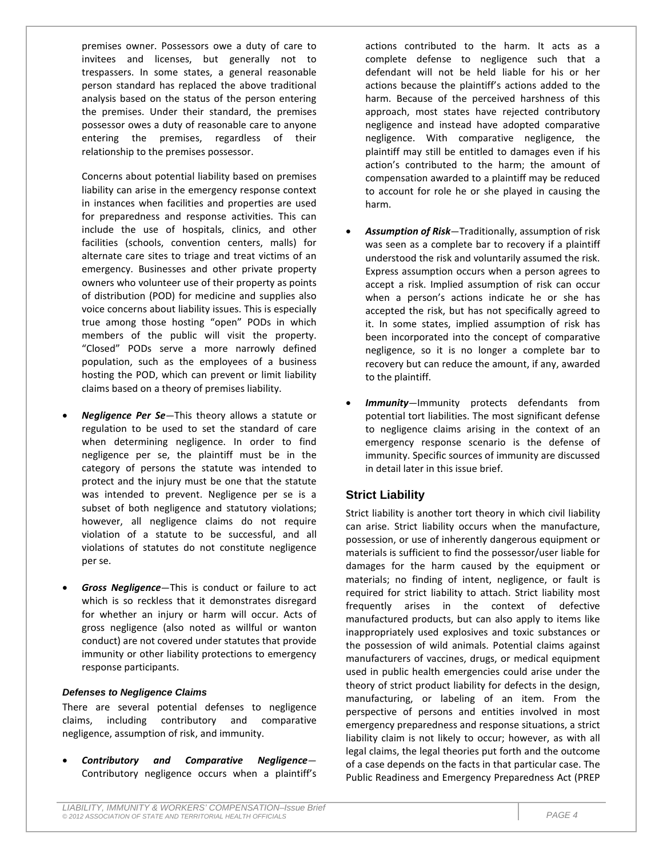premises owner. Possessors owe a duty of care to invitees and licenses, but generally not to trespassers. In some states, a general reasonable person standard has replaced the above traditional analysis based on the status of the person entering the premises. Under their standard, the premises possessor owes a duty of reasonable care to anyone entering the premises, regardless of their relationship to the premises possessor.

Concerns about potential liability based on premises liability can arise in the emergency response context in instances when facilities and properties are used for preparedness and response activities. This can include the use of hospitals, clinics, and other facilities (schools, convention centers, malls) for alternate care sites to triage and treat victims of an emergency. Businesses and other private property owners who volunteer use of their property as points of distribution (POD) for medicine and supplies also voice concerns about liability issues. This is especially true among those hosting "open" PODs in which members of the public will visit the property. "Closed" PODs serve a more narrowly defined population, such as the employees of a business hosting the POD, which can prevent or limit liability claims based on a theory of premises liability.

- *Negligence Per Se*—This theory allows a statute or regulation to be used to set the standard of care when determining negligence. In order to find negligence per se, the plaintiff must be in the category of persons the statute was intended to protect and the injury must be one that the statute was intended to prevent. Negligence per se is a subset of both negligence and statutory violations; however, all negligence claims do not require violation of a statute to be successful, and all violations of statutes do not constitute negligence per se.
- *Gross Negligence*—This is conduct or failure to act which is so reckless that it demonstrates disregard for whether an injury or harm will occur. Acts of gross negligence (also noted as willful or wanton conduct) are not covered under statutes that provide immunity or other liability protections to emergency response participants.

#### *Defenses to Negligence Claims*

There are several potential defenses to negligence claims, including contributory and comparative negligence, assumption of risk, and immunity.

• *Contributory and Comparative Negligence—* Contributory negligence occurs when a plaintiff's actions contributed to the harm. It acts as a complete defense to negligence such that a defendant will not be held liable for his or her actions because the plaintiff's actions added to the harm. Because of the perceived harshness of this approach, most states have rejected contributory negligence and instead have adopted comparative negligence. With comparative negligence, the plaintiff may still be entitled to damages even if his action's contributed to the harm; the amount of compensation awarded to a plaintiff may be reduced to account for role he or she played in causing the harm.

- *Assumption of Risk*—Traditionally, assumption of risk was seen as a complete bar to recovery if a plaintiff understood the risk and voluntarily assumed the risk. Express assumption occurs when a person agrees to accept a risk. Implied assumption of risk can occur when a person's actions indicate he or she has accepted the risk, but has not specifically agreed to it. In some states, implied assumption of risk has been incorporated into the concept of comparative negligence, so it is no longer a complete bar to recovery but can reduce the amount, if any, awarded to the plaintiff.
- **Immunity**—Immunity protects defendants from potential tort liabilities. The most significant defense to negligence claims arising in the context of an emergency response scenario is the defense of immunity. Specific sources of immunity are discussed in detail later in this issue brief.

# **Strict Liability**

Strict liability is another tort theory in which civil liability can arise. Strict liability occurs when the manufacture, possession, or use of inherently dangerous equipment or materials is sufficient to find the possessor/user liable for damages for the harm caused by the equipment or materials; no finding of intent, negligence, or fault is required for strict liability to attach. Strict liability most frequently arises in the context of defective manufactured products, but can also apply to items like inappropriately used explosives and toxic substances or the possession of wild animals. Potential claims against manufacturers of vaccines, drugs, or medical equipment used in public health emergencies could arise under the theory of strict product liability for defects in the design, manufacturing, or labeling of an item. From the perspective of persons and entities involved in most emergency preparedness and response situations, a strict liability claim is not likely to occur; however, as with all legal claims, the legal theories put forth and the outcome of a case depends on the facts in that particular case. The Public Readiness and Emergency Preparedness Act (PREP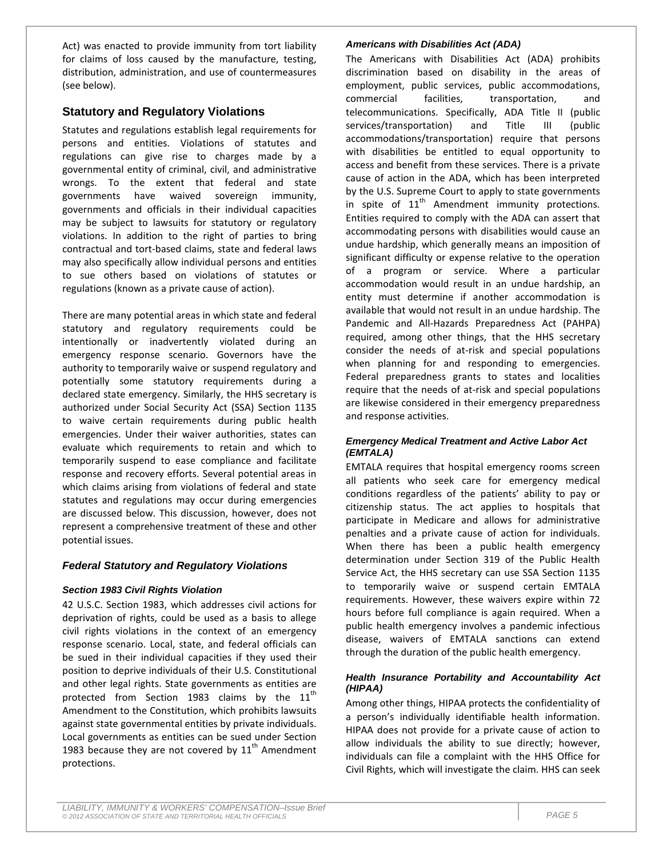Act) was enacted to provide immunity from tort liability for claims of loss caused by the manufacture, testing, distribution, administration, and use of countermeasures (see below).

# **Statutory and Regulatory Violations**

Statutes and regulations establish legal requirements for persons and entities. Violations of statutes and regulations can give rise to charges made by a governmental entity of criminal, civil, and administrative wrongs. To the extent that federal and state governments have waived sovereign immunity, governments and officials in their individual capacities may be subject to lawsuits for statutory or regulatory violations. In addition to the right of parties to bring contractual and tort-based claims, state and federal laws may also specifically allow individual persons and entities to sue others based on violations of statutes or regulations (known as a private cause of action).

There are many potential areas in which state and federal statutory and regulatory requirements could be intentionally or inadvertently violated during an emergency response scenario. Governors have the authority to temporarily waive or suspend regulatory and potentially some statutory requirements during a declared state emergency. Similarly, the HHS secretary is authorized under Social Security Act (SSA) Section 1135 to waive certain requirements during public health emergencies. Under their waiver authorities, states can evaluate which requirements to retain and which to temporarily suspend to ease compliance and facilitate response and recovery efforts. Several potential areas in which claims arising from violations of federal and state statutes and regulations may occur during emergencies are discussed below. This discussion, however, does not represent a comprehensive treatment of these and other potential issues.

### *Federal Statutory and Regulatory Violations*

### *Section 1983 Civil Rights Violation*

42 U.S.C. Section 1983, which addresses civil actions for deprivation of rights, could be used as a basis to allege civil rights violations in the context of an emergency response scenario. Local, state, and federal officials can be sued in their individual capacities if they used their position to deprive individuals of their U.S. Constitutional and other legal rights. State governments as entities are protected from Section 1983 claims by the  $11<sup>th</sup>$ Amendment to the Constitution, which prohibits lawsuits against state governmental entities by private individuals. Local governments as entities can be sued under Section 1983 because they are not covered by  $11<sup>th</sup>$  Amendment protections.

#### *Americans with Disabilities Act (ADA)*

The Americans with Disabilities Act (ADA) prohibits discrimination based on disability in the areas of employment, public services, public accommodations, commercial facilities, transportation, and telecommunications. Specifically, ADA Title II (public services/transportation) and Title III (public accommodations/transportation) require that persons with disabilities be entitled to equal opportunity to access and benefit from these services. There is a private cause of action in the ADA, which has been interpreted by the U.S. Supreme Court to apply to state governments in spite of  $11<sup>th</sup>$  Amendment immunity protections. Entities required to comply with the ADA can assert that accommodating persons with disabilities would cause an undue hardship, which generally means an imposition of significant difficulty or expense relative to the operation of a program or service. Where a particular accommodation would result in an undue hardship, an entity must determine if another accommodation is available that would not result in an undue hardship. The Pandemic and All-Hazards Preparedness Act (PAHPA) required, among other things, that the HHS secretary consider the needs of at-risk and special populations when planning for and responding to emergencies. Federal preparedness grants to states and localities require that the needs of at-risk and special populations are likewise considered in their emergency preparedness and response activities.

#### *Emergency Medical Treatment and Active Labor Act (EMTALA)*

EMTALA requires that hospital emergency rooms screen all patients who seek care for emergency medical conditions regardless of the patients' ability to pay or citizenship status. The act applies to hospitals that participate in Medicare and allows for administrative penalties and a private cause of action for individuals. When there has been a public health emergency determination under Section 319 of the Public Health Service Act, the HHS secretary can use SSA Section 1135 to temporarily waive or suspend certain EMTALA requirements. However, these waivers expire within 72 hours before full compliance is again required. When a public health emergency involves a pandemic infectious disease, waivers of EMTALA sanctions can extend through the duration of the public health emergency.

### *Health Insurance Portability and Accountability Act (HIPAA)*

Among other things, HIPAA protects the confidentiality of a person's individually identifiable health information. HIPAA does not provide for a private cause of action to allow individuals the ability to sue directly; however, individuals can file a complaint with the HHS Office for Civil Rights, which will investigate the claim. HHS can seek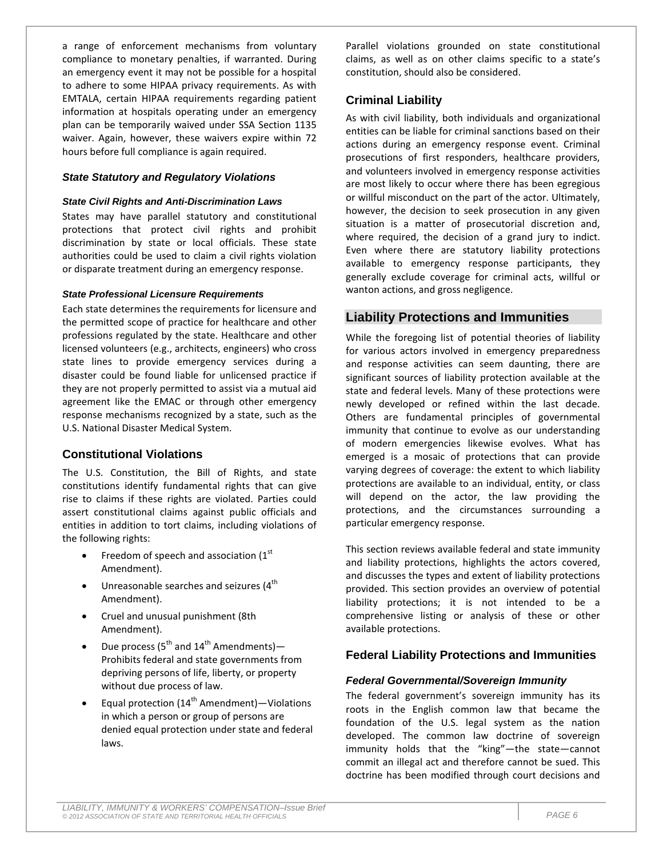a range of enforcement mechanisms from voluntary compliance to monetary penalties, if warranted. During an emergency event it may not be possible for a hospital to adhere to some HIPAA privacy requirements. As with EMTALA, certain HIPAA requirements regarding patient information at hospitals operating under an emergency plan can be temporarily waived under SSA Section 1135 waiver. Again, however, these waivers expire within 72 hours before full compliance is again required.

#### *State Statutory and Regulatory Violations*

#### *State Civil Rights and Anti-Discrimination Laws*

States may have parallel statutory and constitutional protections that protect civil rights and prohibit discrimination by state or local officials. These state authorities could be used to claim a civil rights violation or disparate treatment during an emergency response.

#### *State Professional Licensure Requirements*

Each state determines the requirements for licensure and the permitted scope of practice for healthcare and other professions regulated by the state. Healthcare and other licensed volunteers (e.g., architects, engineers) who cross state lines to provide emergency services during a disaster could be found liable for unlicensed practice if they are not properly permitted to assist via a mutual aid agreement like the EMAC or through other emergency response mechanisms recognized by a state, such as the U.S. National Disaster Medical System.

### **Constitutional Violations**

The U.S. Constitution, the Bill of Rights, and state constitutions identify fundamental rights that can give rise to claims if these rights are violated. Parties could assert constitutional claims against public officials and entities in addition to tort claims, including violations of the following rights:

- Freedom of speech and association  $(1<sup>st</sup>$ Amendment).
- $\bullet$  Unreasonable searches and seizures (4<sup>th</sup> Amendment).
- Cruel and unusual punishment (8th Amendment).
- Due process ( $5^{th}$  and  $14^{th}$  Amendments) Prohibits federal and state governments from depriving persons of life, liberty, or property without due process of law.
- Equal protection  $(14^{th}$  Amendment) Violations in which a person or group of persons are denied equal protection under state and federal laws.

Parallel violations grounded on state constitutional claims, as well as on other claims specific to a state's constitution, should also be considered.

### **Criminal Liability**

As with civil liability, both individuals and organizational entities can be liable for criminal sanctions based on their actions during an emergency response event. Criminal prosecutions of first responders, healthcare providers, and volunteers involved in emergency response activities are most likely to occur where there has been egregious or willful misconduct on the part of the actor. Ultimately, however, the decision to seek prosecution in any given situation is a matter of prosecutorial discretion and, where required, the decision of a grand jury to indict. Even where there are statutory liability protections available to emergency response participants, they generally exclude coverage for criminal acts, willful or wanton actions, and gross negligence.

# **Liability Protections and Immunities**

While the foregoing list of potential theories of liability for various actors involved in emergency preparedness and response activities can seem daunting, there are significant sources of liability protection available at the state and federal levels. Many of these protections were newly developed or refined within the last decade. Others are fundamental principles of governmental immunity that continue to evolve as our understanding of modern emergencies likewise evolves. What has emerged is a mosaic of protections that can provide varying degrees of coverage: the extent to which liability protections are available to an individual, entity, or class will depend on the actor, the law providing the protections, and the circumstances surrounding a particular emergency response.

This section reviews available federal and state immunity and liability protections, highlights the actors covered, and discusses the types and extent of liability protections provided. This section provides an overview of potential liability protections; it is not intended to be a comprehensive listing or analysis of these or other available protections.

### **Federal Liability Protections and Immunities**

#### *Federal Governmental/Sovereign Immunity*

The federal government's sovereign immunity has its roots in the English common law that became the foundation of the U.S. legal system as the nation developed. The common law doctrine of sovereign immunity holds that the "king"—the state—cannot commit an illegal act and therefore cannot be sued. This doctrine has been modified through court decisions and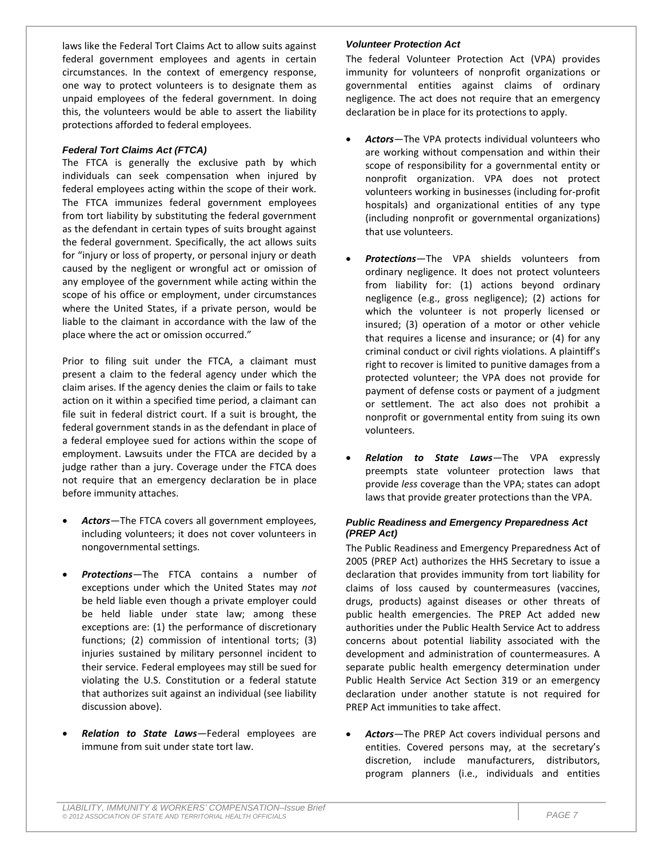laws like the Federal Tort Claims Act to allow suits against federal government employees and agents in certain circumstances. In the context of emergency response, one way to protect volunteers is to designate them as unpaid employees of the federal government. In doing this, the volunteers would be able to assert the liability protections afforded to federal employees.

#### *Federal Tort Claims Act (FTCA)*

The FTCA is generally the exclusive path by which individuals can seek compensation when injured by federal employees acting within the scope of their work. The FTCA immunizes federal government employees from tort liability by substituting the federal government as the defendant in certain types of suits brought against the federal government. Specifically, the act allows suits for "injury or loss of property, or personal injury or death caused by the negligent or wrongful act or omission of any employee of the government while acting within the scope of his office or employment, under circumstances where the United States, if a private person, would be liable to the claimant in accordance with the law of the place where the act or omission occurred."

Prior to filing suit under the FTCA, a claimant must present a claim to the federal agency under which the claim arises. If the agency denies the claim or fails to take action on it within a specified time period, a claimant can file suit in federal district court. If a suit is brought, the federal government stands in as the defendant in place of a federal employee sued for actions within the scope of employment. Lawsuits under the FTCA are decided by a judge rather than a jury. Coverage under the FTCA does not require that an emergency declaration be in place before immunity attaches.

- *Actors—*The FTCA covers all government employees, including volunteers; it does not cover volunteers in nongovernmental settings.
- *Protections—*The FTCA contains a number of exceptions under which the United States may *not* be held liable even though a private employer could be held liable under state law; among these exceptions are: (1) the performance of discretionary functions; (2) commission of intentional torts; (3) injuries sustained by military personnel incident to their service. Federal employees may still be sued for violating the U.S. Constitution or a federal statute that authorizes suit against an individual (see liability discussion above).
- *Relation to State Laws—*Federal employees are immune from suit under state tort law.

#### *Volunteer Protection Act*

The federal Volunteer Protection Act (VPA) provides immunity for volunteers of nonprofit organizations or governmental entities against claims of ordinary negligence. The act does not require that an emergency declaration be in place for its protections to apply.

- *Actors—*The VPA protects individual volunteers who are working without compensation and within their scope of responsibility for a governmental entity or nonprofit organization. VPA does not protect volunteers working in businesses (including for-profit hospitals) and organizational entities of any type (including nonprofit or governmental organizations) that use volunteers.
- *Protections—*The VPA shields volunteers from ordinary negligence. It does not protect volunteers from liability for: (1) actions beyond ordinary negligence (e.g., gross negligence); (2) actions for which the volunteer is not properly licensed or insured; (3) operation of a motor or other vehicle that requires a license and insurance; or (4) for any criminal conduct or civil rights violations. A plaintiff's right to recover is limited to punitive damages from a protected volunteer; the VPA does not provide for payment of defense costs or payment of a judgment or settlement. The act also does not prohibit a nonprofit or governmental entity from suing its own volunteers.
- *Relation to State Laws—*The VPA expressly preempts state volunteer protection laws that provide *less* coverage than the VPA; states can adopt laws that provide greater protections than the VPA.

#### *Public Readiness and Emergency Preparedness Act (PREP Act)*

The Public Readiness and Emergency Preparedness Act of 2005 (PREP Act) authorizes the HHS Secretary to issue a declaration that provides immunity from tort liability for claims of loss caused by countermeasures (vaccines, drugs, products) against diseases or other threats of public health emergencies. The PREP Act added new authorities under the Public Health Service Act to address concerns about potential liability associated with the development and administration of countermeasures. A separate public health emergency determination under Public Health Service Act Section 319 or an emergency declaration under another statute is not required for PREP Act immunities to take affect.

• *Actors—*The PREP Act covers individual persons and entities. Covered persons may, at the secretary's discretion, include manufacturers, distributors, program planners (i.e., individuals and entities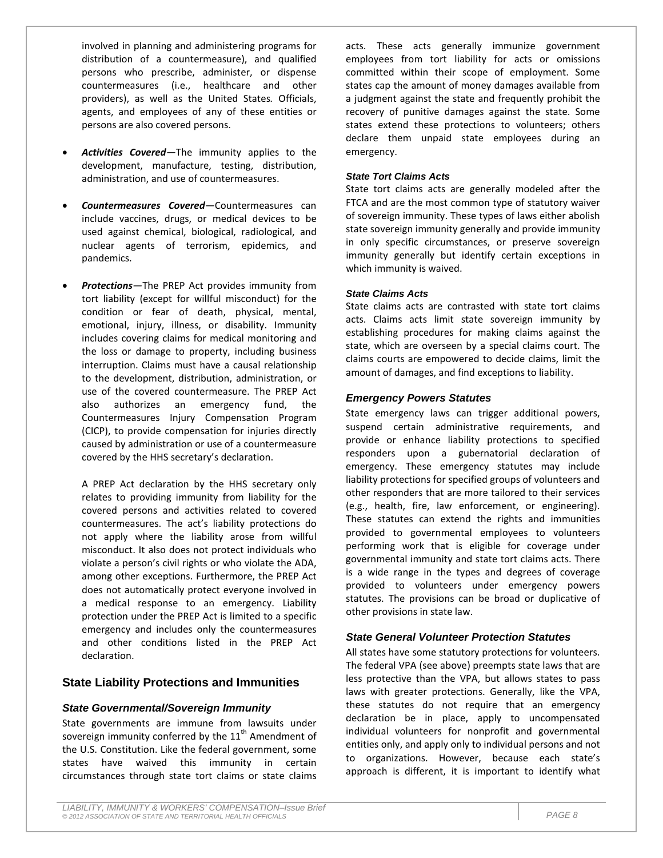involved in planning and administering programs for distribution of a countermeasure), and qualified persons who prescribe, administer, or dispense countermeasures (i.e., healthcare and other providers), as well as the United States*.* Officials, agents, and employees of any of these entities or persons are also covered persons.

- Activities Covered-The immunity applies to the development, manufacture, testing, distribution, administration, and use of countermeasures.
- *Countermeasures Covered—*Countermeasures can include vaccines, drugs, or medical devices to be used against chemical, biological, radiological, and nuclear agents of terrorism, epidemics, and pandemics.
- *Protections—*The PREP Act provides immunity from tort liability (except for willful misconduct) for the condition or fear of death, physical, mental, emotional, injury, illness, or disability. Immunity includes covering claims for medical monitoring and the loss or damage to property, including business interruption. Claims must have a causal relationship to the development, distribution, administration, or use of the covered countermeasure. The PREP Act also authorizes an emergency fund, the Countermeasures Injury Compensation Program (CICP), to provide compensation for injuries directly caused by administration or use of a countermeasure covered by the HHS secretary's declaration.

A PREP Act declaration by the HHS secretary only relates to providing immunity from liability for the covered persons and activities related to covered countermeasures. The act's liability protections do not apply where the liability arose from willful misconduct. It also does not protect individuals who violate a person's civil rights or who violate the ADA, among other exceptions. Furthermore, the PREP Act does not automatically protect everyone involved in a medical response to an emergency. Liability protection under the PREP Act is limited to a specific emergency and includes only the countermeasures and other conditions listed in the PREP Act declaration.

### **State Liability Protections and Immunities**

### *State Governmental/Sovereign Immunity*

State governments are immune from lawsuits under sovereign immunity conferred by the  $11<sup>th</sup>$  Amendment of the U.S. Constitution. Like the federal government, some states have waived this immunity in certain circumstances through state tort claims or state claims acts. These acts generally immunize government employees from tort liability for acts or omissions committed within their scope of employment. Some states cap the amount of money damages available from a judgment against the state and frequently prohibit the recovery of punitive damages against the state. Some states extend these protections to volunteers; others declare them unpaid state employees during an emergency.

#### *State Tort Claims Acts*

State tort claims acts are generally modeled after the FTCA and are the most common type of statutory waiver of sovereign immunity. These types of laws either abolish state sovereign immunity generally and provide immunity in only specific circumstances, or preserve sovereign immunity generally but identify certain exceptions in which immunity is waived.

#### *State Claims Acts*

State claims acts are contrasted with state tort claims acts. Claims acts limit state sovereign immunity by establishing procedures for making claims against the state, which are overseen by a special claims court. The claims courts are empowered to decide claims, limit the amount of damages, and find exceptions to liability.

### *Emergency Powers Statutes*

State emergency laws can trigger additional powers, suspend certain administrative requirements, and provide or enhance liability protections to specified responders upon a gubernatorial declaration of emergency. These emergency statutes may include liability protections for specified groups of volunteers and other responders that are more tailored to their services (e.g., health, fire, law enforcement, or engineering). These statutes can extend the rights and immunities provided to governmental employees to volunteers performing work that is eligible for coverage under governmental immunity and state tort claims acts. There is a wide range in the types and degrees of coverage provided to volunteers under emergency powers statutes. The provisions can be broad or duplicative of other provisions in state law.

### *State General Volunteer Protection Statutes*

All states have some statutory protections for volunteers. The federal VPA (see above) preempts state laws that are less protective than the VPA, but allows states to pass laws with greater protections. Generally, like the VPA, these statutes do not require that an emergency declaration be in place, apply to uncompensated individual volunteers for nonprofit and governmental entities only, and apply only to individual persons and not to organizations. However, because each state's approach is different, it is important to identify what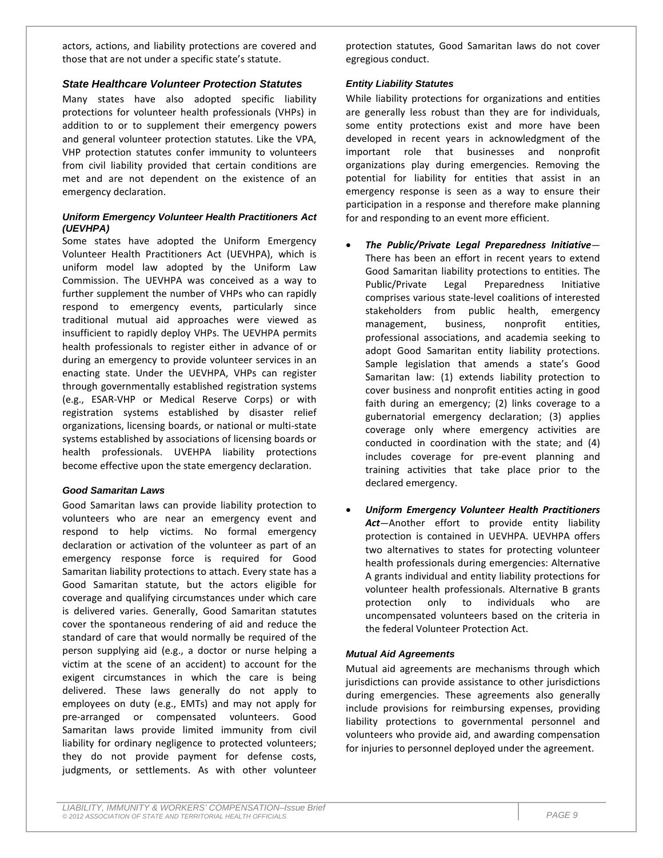actors, actions, and liability protections are covered and those that are not under a specific state's statute.

### *State Healthcare Volunteer Protection Statutes*

Many states have also adopted specific liability protections for volunteer health professionals (VHPs) in addition to or to supplement their emergency powers and general volunteer protection statutes. Like the VPA, VHP protection statutes confer immunity to volunteers from civil liability provided that certain conditions are met and are not dependent on the existence of an emergency declaration.

### *Uniform Emergency Volunteer Health Practitioners Act (UEVHPA)*

Some states have adopted the Uniform Emergency Volunteer Health Practitioners Act (UEVHPA), which is uniform model law adopted by the Uniform Law Commission. The UEVHPA was conceived as a way to further supplement the number of VHPs who can rapidly respond to emergency events, particularly since traditional mutual aid approaches were viewed as insufficient to rapidly deploy VHPs. The UEVHPA permits health professionals to register either in advance of or during an emergency to provide volunteer services in an enacting state. Under the UEVHPA, VHPs can register through governmentally established registration systems (e.g., ESAR-VHP or Medical Reserve Corps) or with registration systems established by disaster relief organizations, licensing boards, or national or multi-state systems established by associations of licensing boards or health professionals. UVEHPA liability protections become effective upon the state emergency declaration.

### *Good Samaritan Laws*

Good Samaritan laws can provide liability protection to volunteers who are near an emergency event and respond to help victims. No formal emergency declaration or activation of the volunteer as part of an emergency response force is required for Good Samaritan liability protections to attach. Every state has a Good Samaritan statute, but the actors eligible for coverage and qualifying circumstances under which care is delivered varies. Generally, Good Samaritan statutes cover the spontaneous rendering of aid and reduce the standard of care that would normally be required of the person supplying aid (e.g., a doctor or nurse helping a victim at the scene of an accident) to account for the exigent circumstances in which the care is being delivered. These laws generally do not apply to employees on duty (e.g., EMTs) and may not apply for pre-arranged or compensated volunteers. Good Samaritan laws provide limited immunity from civil liability for ordinary negligence to protected volunteers; they do not provide payment for defense costs, judgments, or settlements. As with other volunteer protection statutes, Good Samaritan laws do not cover egregious conduct.

### *Entity Liability Statutes*

While liability protections for organizations and entities are generally less robust than they are for individuals, some entity protections exist and more have been developed in recent years in acknowledgment of the important role that businesses and nonprofit organizations play during emergencies. Removing the potential for liability for entities that assist in an emergency response is seen as a way to ensure their participation in a response and therefore make planning for and responding to an event more efficient.

- *The Public/Private Legal Preparedness Initiative—* There has been an effort in recent years to extend Good Samaritan liability protections to entities. The Public/Private Legal Preparedness Initiative comprises various state-level coalitions of interested stakeholders from public health, emergency management, business, nonprofit entities, professional associations, and academia seeking to adopt Good Samaritan entity liability protections. Sample legislation that amends a state's Good Samaritan law: (1) extends liability protection to cover business and nonprofit entities acting in good faith during an emergency; (2) links coverage to a gubernatorial emergency declaration; (3) applies coverage only where emergency activities are conducted in coordination with the state; and (4) includes coverage for pre-event planning and training activities that take place prior to the declared emergency.
- *Uniform Emergency Volunteer Health Practitioners Act*—Another effort to provide entity liability protection is contained in UEVHPA. UEVHPA offers two alternatives to states for protecting volunteer health professionals during emergencies: Alternative A grants individual and entity liability protections for volunteer health professionals. Alternative B grants protection only to individuals who are uncompensated volunteers based on the criteria in the federal Volunteer Protection Act.

### *Mutual Aid Agreements*

Mutual aid agreements are mechanisms through which jurisdictions can provide assistance to other jurisdictions during emergencies. These agreements also generally include provisions for reimbursing expenses, providing liability protections to governmental personnel and volunteers who provide aid, and awarding compensation for injuries to personnel deployed under the agreement.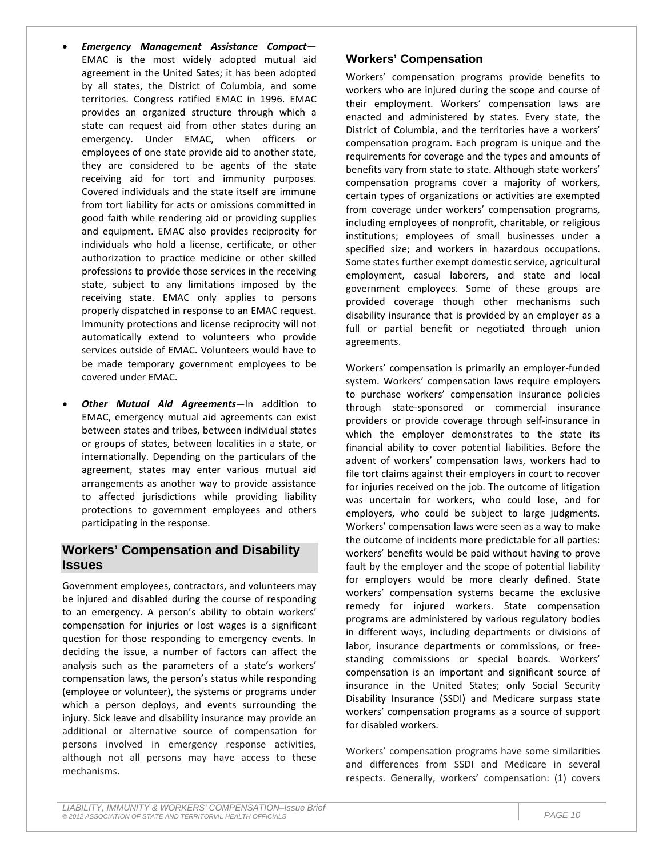- *Emergency Management Assistance Compact* EMAC is the most widely adopted mutual aid agreement in the United Sates; it has been adopted by all states, the District of Columbia, and some territories. Congress ratified EMAC in 1996. EMAC provides an organized structure through which a state can request aid from other states during an emergency. Under EMAC, when officers or employees of one state provide aid to another state, they are considered to be agents of the state receiving aid for tort and immunity purposes. Covered individuals and the state itself are immune from tort liability for acts or omissions committed in good faith while rendering aid or providing supplies and equipment. EMAC also provides reciprocity for individuals who hold a license, certificate, or other authorization to practice medicine or other skilled professions to provide those services in the receiving state, subject to any limitations imposed by the receiving state. EMAC only applies to persons properly dispatched in response to an EMAC request. Immunity protections and license reciprocity will not automatically extend to volunteers who provide services outside of EMAC. Volunteers would have to be made temporary government employees to be covered under EMAC.
- *Other Mutual Aid Agreements—*In addition to EMAC, emergency mutual aid agreements can exist between states and tribes, between individual states or groups of states, between localities in a state, or internationally. Depending on the particulars of the agreement, states may enter various mutual aid arrangements as another way to provide assistance to affected jurisdictions while providing liability protections to government employees and others participating in the response.

# **Workers' Compensation and Disability Issues**

Government employees, contractors, and volunteers may be injured and disabled during the course of responding to an emergency. A person's ability to obtain workers' compensation for injuries or lost wages is a significant question for those responding to emergency events. In deciding the issue, a number of factors can affect the analysis such as the parameters of a state's workers' compensation laws, the person's status while responding (employee or volunteer), the systems or programs under which a person deploys, and events surrounding the injury. Sick leave and disability insurance may provide an additional or alternative source of compensation for persons involved in emergency response activities, although not all persons may have access to these mechanisms.

# **Workers' Compensation**

Workers' compensation programs provide benefits to workers who are injured during the scope and course of their employment. Workers' compensation laws are enacted and administered by states. Every state, the District of Columbia, and the territories have a workers' compensation program. Each program is unique and the requirements for coverage and the types and amounts of benefits vary from state to state. Although state workers' compensation programs cover a majority of workers, certain types of organizations or activities are exempted from coverage under workers' compensation programs, including employees of nonprofit, charitable, or religious institutions; employees of small businesses under a specified size; and workers in hazardous occupations. Some states further exempt domestic service, agricultural employment, casual laborers, and state and local government employees. Some of these groups are provided coverage though other mechanisms such disability insurance that is provided by an employer as a full or partial benefit or negotiated through union agreements.

Workers' compensation is primarily an employer-funded system. Workers' compensation laws require employers to purchase workers' compensation insurance policies through state-sponsored or commercial insurance providers or provide coverage through self-insurance in which the employer demonstrates to the state its financial ability to cover potential liabilities. Before the advent of workers' compensation laws, workers had to file tort claims against their employers in court to recover for injuries received on the job. The outcome of litigation was uncertain for workers, who could lose, and for employers, who could be subject to large judgments. Workers' compensation laws were seen as a way to make the outcome of incidents more predictable for all parties: workers' benefits would be paid without having to prove fault by the employer and the scope of potential liability for employers would be more clearly defined. State workers' compensation systems became the exclusive remedy for injured workers. State compensation programs are administered by various regulatory bodies in different ways, including departments or divisions of labor, insurance departments or commissions, or freestanding commissions or special boards. Workers' compensation is an important and significant source of insurance in the United States; only Social Security Disability Insurance (SSDI) and Medicare surpass state workers' compensation programs as a source of support for disabled workers.

Workers' compensation programs have some similarities and differences from SSDI and Medicare in several respects. Generally, workers' compensation: (1) covers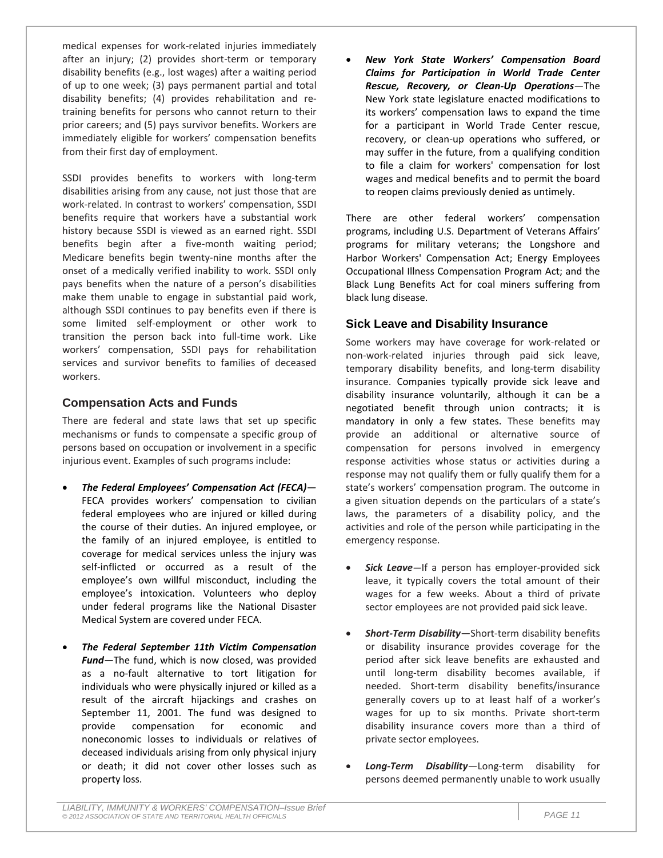medical expenses for work-related injuries immediately after an injury; (2) provides short-term or temporary disability benefits (e.g., lost wages) after a waiting period of up to one week; (3) pays permanent partial and total disability benefits; (4) provides rehabilitation and retraining benefits for persons who cannot return to their prior careers; and (5) pays survivor benefits. Workers are immediately eligible for workers' compensation benefits from their first day of employment.

SSDI provides benefits to workers with long-term disabilities arising from any cause, not just those that are work-related. In contrast to workers' compensation, SSDI benefits require that workers have a substantial work history because SSDI is viewed as an earned right. SSDI benefits begin after a five-month waiting period; Medicare benefits begin twenty-nine months after the onset of a medically verified inability to work. SSDI only pays benefits when the nature of a person's disabilities make them unable to engage in substantial paid work, although SSDI continues to pay benefits even if there is some limited self-employment or other work to transition the person back into full-time work. Like workers' compensation, SSDI pays for rehabilitation services and survivor benefits to families of deceased workers.

### **Compensation Acts and Funds**

There are federal and state laws that set up specific mechanisms or funds to compensate a specific group of persons based on occupation or involvement in a specific injurious event. Examples of such programs include:

- *The Federal Employees' Compensation Act (FECA)—* FECA provides workers' compensation to civilian federal employees who are injured or killed during the course of their duties. An injured employee, or the family of an injured employee, is entitled to coverage for medical services unless the injury was self-inflicted or occurred as a result of the employee's own willful misconduct, including the employee's intoxication. Volunteers who deploy under federal programs like the National Disaster Medical System are covered under FECA.
- *The Federal September 11th Victim Compensation Fund—*The fund, which is now closed, was provided as a no-fault alternative to tort litigation for individuals who were physically injured or killed as a result of the aircraft hijackings and crashes on September 11, 2001. The fund was designed to provide compensation for economic and noneconomic losses to individuals or relatives of deceased individuals arising from only physical injury or death; it did not cover other losses such as property loss.

• *New York State Workers' Compensation Board Claims for Participation in World Trade Center Rescue, Recovery, or Clean-Up Operations*—The New York state legislature enacted modifications to its workers' compensation laws to expand the time for a participant in World Trade Center rescue, recovery, or clean-up operations who suffered, or may suffer in the future, from a qualifying condition to file a claim for workers' compensation for lost wages and medical benefits and to permit the board to reopen claims previously denied as untimely.

There are other federal workers' compensation programs, including U.S. Department of Veterans Affairs' programs for military veterans; the Longshore and Harbor Workers' Compensation Act; Energy Employees Occupational Illness Compensation Program Act; and the Black Lung Benefits Act for coal miners suffering from black lung disease.

# **Sick Leave and Disability Insurance**

Some workers may have coverage for work-related or non-work-related injuries through paid sick leave, temporary disability benefits, and long-term disability insurance. Companies typically provide sick leave and disability insurance voluntarily, although it can be a negotiated benefit through union contracts; it is mandatory in only a few states. These benefits may provide an additional or alternative source of compensation for persons involved in emergency response activities whose status or activities during a response may not qualify them or fully qualify them for a state's workers' compensation program. The outcome in a given situation depends on the particulars of a state's laws, the parameters of a disability policy, and the activities and role of the person while participating in the emergency response.

- **Sick Leave**—If a person has employer-provided sick leave, it typically covers the total amount of their wages for a few weeks. About a third of private sector employees are not provided paid sick leave.
- *Short-Term Disability*—Short-term disability benefits or disability insurance provides coverage for the period after sick leave benefits are exhausted and until long-term disability becomes available, if needed. Short-term disability benefits/insurance generally covers up to at least half of a worker's wages for up to six months. Private short-term disability insurance covers more than a third of private sector employees.
- *Long-Term Disability*—Long-term disability for persons deemed permanently unable to work usually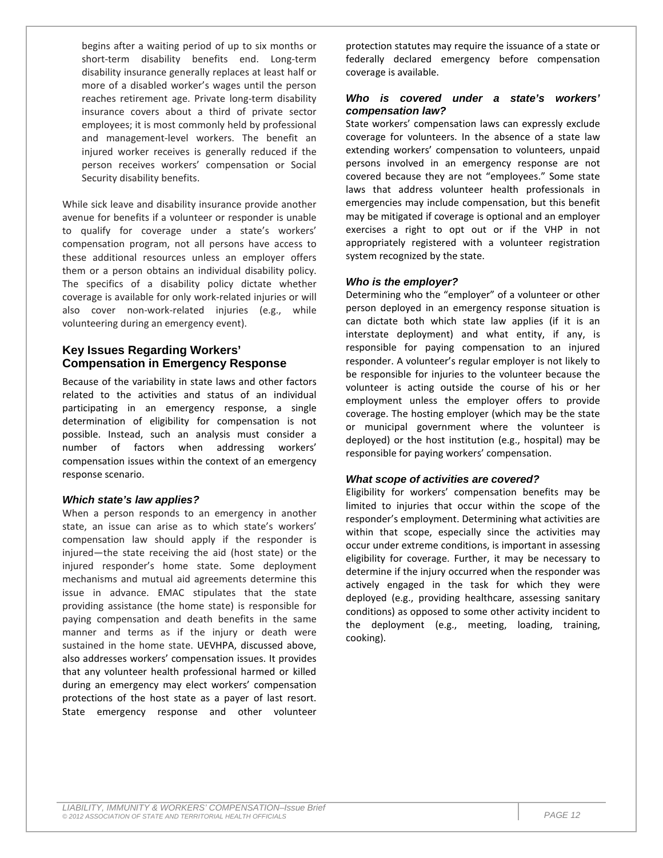begins after a waiting period of up to six months or short-term disability benefits end. Long-term disability insurance generally replaces at least half or more of a disabled worker's wages until the person reaches retirement age. Private long-term disability insurance covers about a third of private sector employees; it is most commonly held by professional and management-level workers. The benefit an injured worker receives is generally reduced if the person receives workers' compensation or Social Security disability benefits.

While sick leave and disability insurance provide another avenue for benefits if a volunteer or responder is unable to qualify for coverage under a state's workers' compensation program, not all persons have access to these additional resources unless an employer offers them or a person obtains an individual disability policy. The specifics of a disability policy dictate whether coverage is available for only work-related injuries or will also cover non-work-related injuries (e.g., while volunteering during an emergency event).

# **Key Issues Regarding Workers' Compensation in Emergency Response**

Because of the variability in state laws and other factors related to the activities and status of an individual participating in an emergency response, a single determination of eligibility for compensation is not possible. Instead, such an analysis must consider a number of factors when addressing workers' compensation issues within the context of an emergency response scenario.

### *Which state's law applies?*

When a person responds to an emergency in another state, an issue can arise as to which state's workers' compensation law should apply if the responder is injured—the state receiving the aid (host state) or the injured responder's home state. Some deployment mechanisms and mutual aid agreements determine this issue in advance. EMAC stipulates that the state providing assistance (the home state) is responsible for paying compensation and death benefits in the same manner and terms as if the injury or death were sustained in the home state. UEVHPA, discussed above, also addresses workers' compensation issues. It provides that any volunteer health professional harmed or killed during an emergency may elect workers' compensation protections of the host state as a payer of last resort. State emergency response and other volunteer

protection statutes may require the issuance of a state or federally declared emergency before compensation coverage is available.

### *Who is covered under a state's workers' compensation law?*

State workers' compensation laws can expressly exclude coverage for volunteers. In the absence of a state law extending workers' compensation to volunteers, unpaid persons involved in an emergency response are not covered because they are not "employees." Some state laws that address volunteer health professionals in emergencies may include compensation, but this benefit may be mitigated if coverage is optional and an employer exercises a right to opt out or if the VHP in not appropriately registered with a volunteer registration system recognized by the state.

### *Who is the employer?*

Determining who the "employer" of a volunteer or other person deployed in an emergency response situation is can dictate both which state law applies (if it is an interstate deployment) and what entity, if any, is responsible for paying compensation to an injured responder. A volunteer's regular employer is not likely to be responsible for injuries to the volunteer because the volunteer is acting outside the course of his or her employment unless the employer offers to provide coverage. The hosting employer (which may be the state or municipal government where the volunteer is deployed) or the host institution (e.g., hospital) may be responsible for paying workers' compensation.

### *What scope of activities are covered?*

Eligibility for workers' compensation benefits may be limited to injuries that occur within the scope of the responder's employment. Determining what activities are within that scope, especially since the activities may occur under extreme conditions, is important in assessing eligibility for coverage. Further, it may be necessary to determine if the injury occurred when the responder was actively engaged in the task for which they were deployed (e.g., providing healthcare, assessing sanitary conditions) as opposed to some other activity incident to the deployment (e.g., meeting, loading, training, cooking).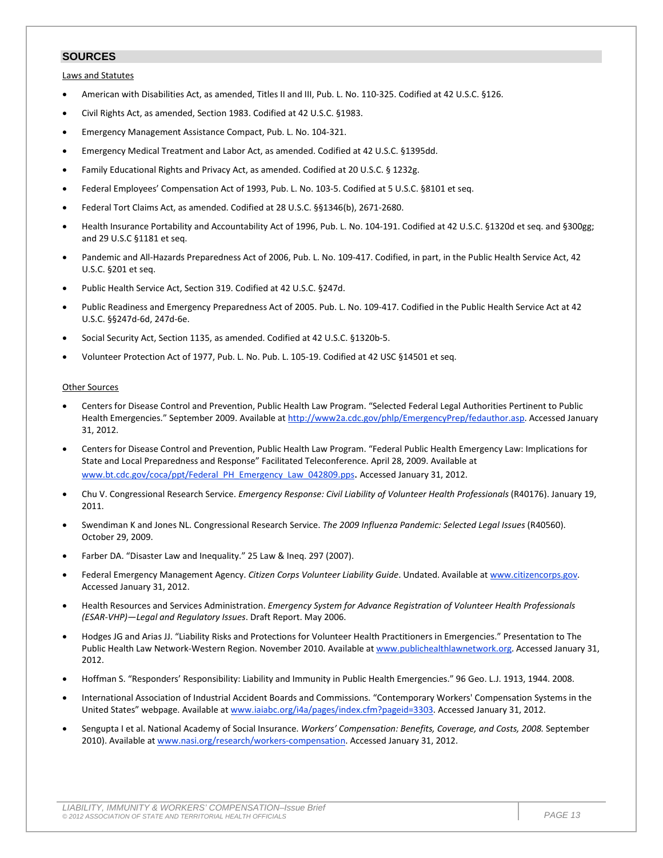### **SOURCES**

Laws and Statutes

- American with Disabilities Act, as amended, Titles II and III, Pub. L. No. 110-325. Codified at 42 U.S.C. §126.
- Civil Rights Act, as amended, Section 1983. Codified at 42 U.S.C. §1983.
- Emergency Management Assistance Compact, Pub. L. No. 104-321.
- Emergency Medical Treatment and Labor Act, as amended. Codified at 42 U.S.C. §1395dd.
- Family Educational Rights and Privacy Act, as amended. Codified at 20 U.S.C. § 1232g.
- Federal Employees' Compensation Act of 1993, Pub. L. No. 103-5. Codified at 5 U.S.C. §8101 et seq.
- Federal Tort Claims Act, as amended. Codified at 28 U.S.C. §§1346(b), 2671-2680.
- Health Insurance Portability and Accountability Act of 1996, Pub. L. No. 104-191. Codified at 42 U.S.C. §1320d et seq. and §300gg; and 29 U.S.C §1181 et seq.
- Pandemic and All-Hazards Preparedness Act of 2006, Pub. L. No. 109-417. Codified, in part, in the Public Health Service Act, 42 U.S.C. §201 et seq.
- Public Health Service Act, Section 319. Codified at 42 U.S.C. §247d.
- Public Readiness and Emergency Preparedness Act of 2005. Pub. L. No. 109-417. Codified in the Public Health Service Act at 42 U.S.C. §§247d-6d, 247d-6e.
- Social Security Act, Section 1135, as amended. Codified at 42 U.S.C. §1320b-5.
- Volunteer Protection Act of 1977, Pub. L. No. Pub. L. 105-19. Codified at 42 USC §14501 et seq.

#### Other Sources

- Centers for Disease Control and Prevention, Public Health Law Program. "Selected Federal Legal Authorities Pertinent to Public Health Emergencies." September 2009. Available at [http://www2a.cdc.gov/phlp/EmergencyPrep/fedauthor.asp.](http://www2a.cdc.gov/phlp/EmergencyPrep/fedauthor.asp) Accessed January 31, 2012.
- Centers for Disease Control and Prevention, Public Health Law Program. "Federal Public Health Emergency Law: Implications for State and Local Preparedness and Response" Facilitated Teleconference. April 28, 2009. Available at [www.bt.cdc.gov/coca/ppt/Federal\\_PH\\_Emergency\\_Law\\_042809.pps.](http://www.bt.cdc.gov/coca/ppt/Federal_PH_Emergency_Law_042809.pps) Accessed January 31, 2012.
- Chu V. Congressional Research Service. *Emergency Response: Civil Liability of Volunteer Health Professionals* (R40176). January 19, 2011.
- Swendiman K and Jones NL. Congressional Research Service. *The 2009 Influenza Pandemic: Selected Legal Issues* (R40560). October 29, 2009.
- Farber DA. "Disaster Law and Inequality." 25 Law & Ineq. 297 (2007).
- Federal Emergency Management Agency. *Citizen Corps Volunteer Liability Guide*. Undated. Available at [www.citizencorps.gov.](http://www.citizencorps.gov/) Accessed January 31, 2012.
- Health Resources and Services Administration. *Emergency System for Advance Registration of Volunteer Health Professionals (ESAR-VHP)—Legal and Regulatory Issues*. Draft Report. May 2006.
- Hodges JG and Arias JJ. "Liability Risks and Protections for Volunteer Health Practitioners in Emergencies." Presentation to The Public Health Law Network-Western Region. November 2010. Available at [www.publichealthlawnetwork.org.](http://www.publichealthlawnetwork.org/) Accessed January 31, 2012.
- Hoffman S. "Responders' Responsibility: Liability and Immunity in Public Health Emergencies." 96 Geo. L.J. 1913, 1944. 2008.
- International Association of Industrial Accident Boards and Commissions. "Contemporary Workers' Compensation Systems in the United States" webpage. Available a[t www.iaiabc.org/i4a/pages/index.cfm?pageid=3303.](http://www.iaiabc.org/i4a/pages/index.cfm?pageid=3303) Accessed January 31, 2012.
- Sengupta I et al. National Academy of Social Insurance. *Workers' Compensation: Benefits, Coverage, and Costs, 2008.* September 2010). Available a[t www.nasi.org/research/workers-compensation.](http://www.nasi.org/research/workers-compensation) Accessed January 31, 2012.